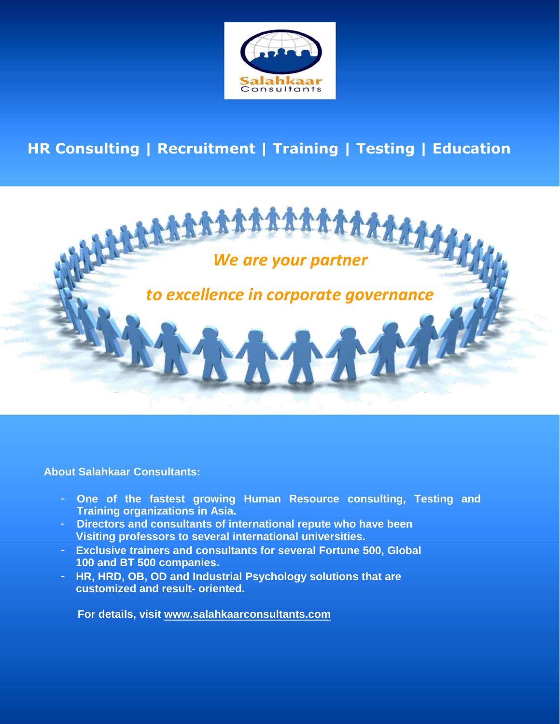

## **HR Consulting | Recruitment | Training | Testing | Education**



**About Salahkaar Consultants:**

- **One of the fastest growing Human Resource consulting, Testing and Training organizations in Asia.**
- **Directors and consultants of international repute who have been Visiting professors to several international universities.**
- **Exclusive trainers and consultants for several Fortune 500, Global 100 and BT 500 companies.**
- **HR, HRD, OB, OD and Industrial Psychology solutions that are customized and result- oriented.**

**For details, visit [www.salahkaarconsultants.com](http://www.salahkaarconsultants.com/)**